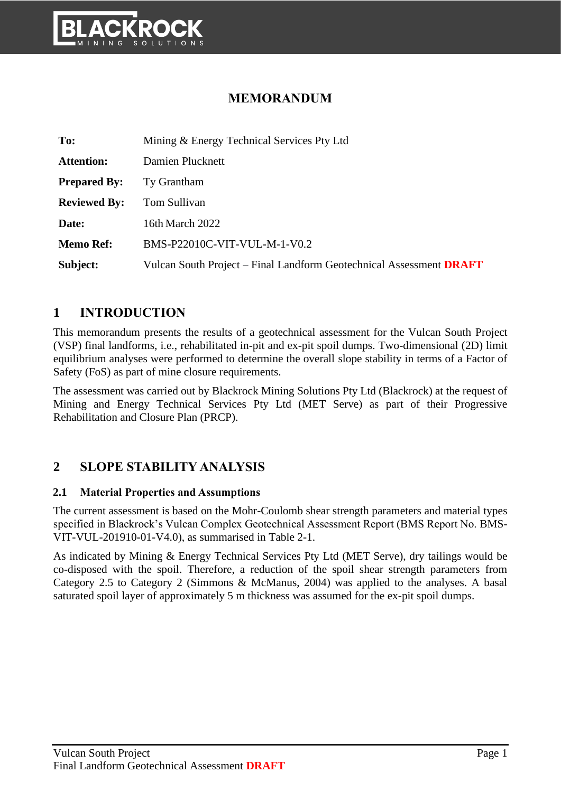

# **MEMORANDUM**

| To:                 | Mining & Energy Technical Services Pty Ltd                          |
|---------------------|---------------------------------------------------------------------|
| <b>Attention:</b>   | Damien Plucknett                                                    |
| <b>Prepared By:</b> | Ty Grantham                                                         |
| <b>Reviewed By:</b> | Tom Sullivan                                                        |
| Date:               | 16th March 2022                                                     |
| <b>Memo Ref:</b>    | BMS-P22010C-VIT-VUL-M-1-V0.2                                        |
| Subject:            | Vulcan South Project – Final Landform Geotechnical Assessment DRAFT |

## **1 INTRODUCTION**

This memorandum presents the results of a geotechnical assessment for the Vulcan South Project (VSP) final landforms, i.e., rehabilitated in-pit and ex-pit spoil dumps. Two-dimensional (2D) limit equilibrium analyses were performed to determine the overall slope stability in terms of a Factor of Safety (FoS) as part of mine closure requirements.

The assessment was carried out by Blackrock Mining Solutions Pty Ltd (Blackrock) at the request of Mining and Energy Technical Services Pty Ltd (MET Serve) as part of their Progressive Rehabilitation and Closure Plan (PRCP).

## **2 SLOPE STABILITY ANALYSIS**

#### **2.1 Material Properties and Assumptions**

The current assessment is based on the Mohr-Coulomb shear strength parameters and material types specified in Blackrock's Vulcan Complex Geotechnical Assessment Report (BMS Report No. BMS-VIT-VUL-201910-01-V4.0), as summarised in [Table 2-1.](#page-1-0)

As indicated by Mining & Energy Technical Services Pty Ltd (MET Serve), dry tailings would be co-disposed with the spoil. Therefore, a reduction of the spoil shear strength parameters from Category 2.5 to Category 2 (Simmons & McManus, 2004) was applied to the analyses. A basal saturated spoil layer of approximately 5 m thickness was assumed for the ex-pit spoil dumps.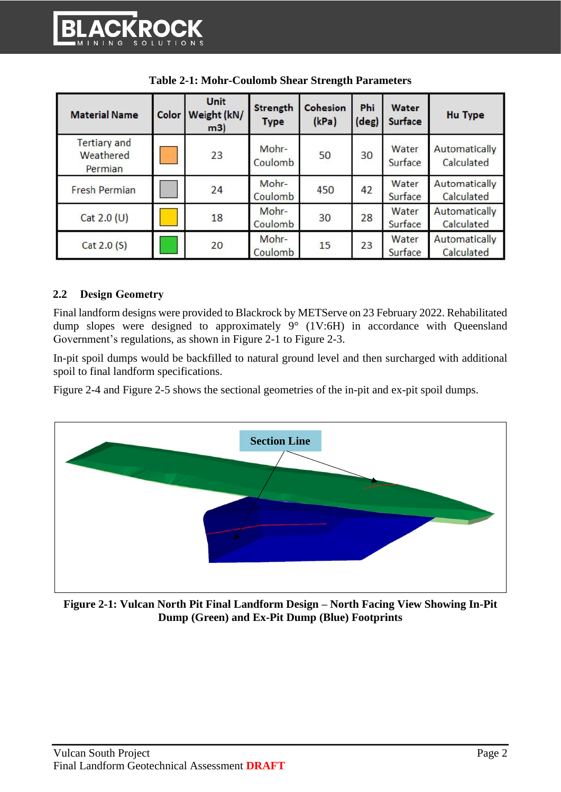<span id="page-1-0"></span>

| <b>Material Name</b>                        | Color | Unit<br>Weight (kN/<br>m3) | <b>Strength</b><br><b>Type</b> | Cohesion<br>(kPa) | Phi<br>(deg) | Water<br>Surface | <b>Hu Type</b>              |
|---------------------------------------------|-------|----------------------------|--------------------------------|-------------------|--------------|------------------|-----------------------------|
| <b>Tertiary and</b><br>Weathered<br>Permian |       | 23                         | Mohr-<br>Coulomb               | 50                | 30           | Water<br>Surface | Automatically<br>Calculated |
| Fresh Permian                               |       | 24                         | Mohr-<br>Coulomb               | 450               | 42           | Water<br>Surface | Automatically<br>Calculated |
| Cat $2.0$ (U)                               |       | 18                         | Mohr-<br>Coulomb               | 30                | 28           | Water<br>Surface | Automatically<br>Calculated |
| Cat 2.0 (S)                                 |       | 20                         | Mohr-<br>Coulomb               | 15                | 23           | Water<br>Surface | Automatically<br>Calculated |

| <b>Table 2-1: Mohr-Coulomb Shear Strength Parameters</b> |
|----------------------------------------------------------|
|----------------------------------------------------------|

#### **2.2 Design Geometry**

Final landform designs were provided to Blackrock by METServe on 23 February 2022. Rehabilitated dump slopes were designed to approximately 9° (1V:6H) in accordance with Queensland Government's regulations, as shown in [Figure 2-1](#page-1-1) to [Figure 2-3.](#page-2-0)

In-pit spoil dumps would be backfilled to natural ground level and then surcharged with additional spoil to final landform specifications.

[Figure 2-4](#page-3-0) and [Figure 2-5](#page-3-1) shows the sectional geometries of the in-pit and ex-pit spoil dumps.



<span id="page-1-1"></span>**Figure 2-1: Vulcan North Pit Final Landform Design – North Facing View Showing In-Pit Dump (Green) and Ex-Pit Dump (Blue) Footprints**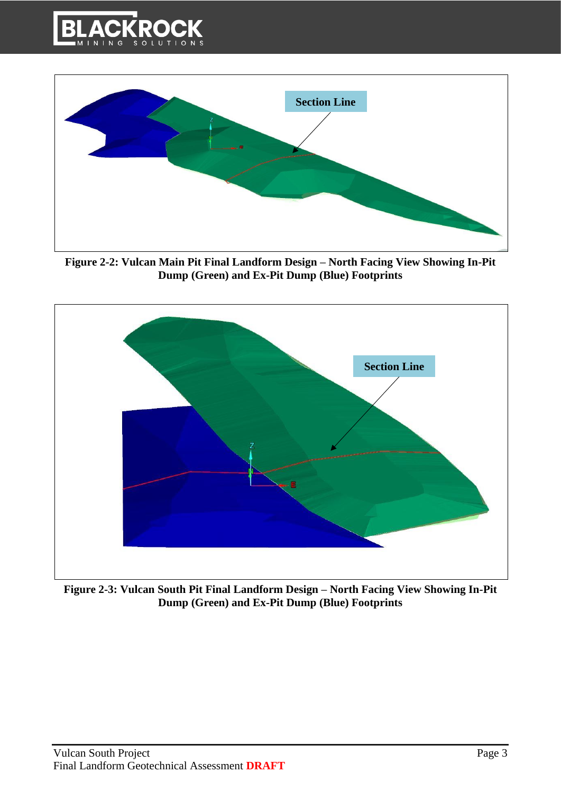



**Figure 2-2: Vulcan Main Pit Final Landform Design – North Facing View Showing In-Pit Dump (Green) and Ex-Pit Dump (Blue) Footprints**



<span id="page-2-0"></span>**Figure 2-3: Vulcan South Pit Final Landform Design – North Facing View Showing In-Pit Dump (Green) and Ex-Pit Dump (Blue) Footprints**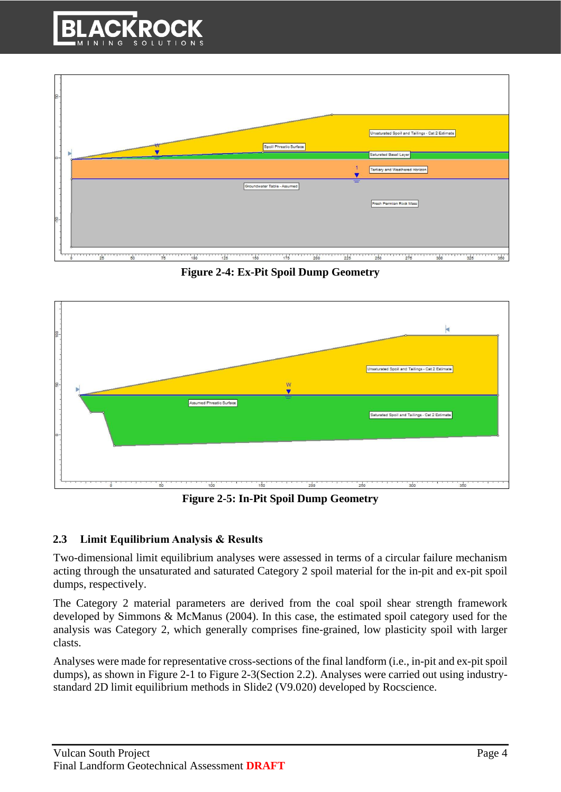



**Figure 2-4: Ex-Pit Spoil Dump Geometry**

<span id="page-3-0"></span>

**Figure 2-5: In-Pit Spoil Dump Geometry**

### <span id="page-3-1"></span>**2.3 Limit Equilibrium Analysis & Results**

Two-dimensional limit equilibrium analyses were assessed in terms of a circular failure mechanism acting through the unsaturated and saturated Category 2 spoil material for the in-pit and ex-pit spoil dumps, respectively.

The Category 2 material parameters are derived from the coal spoil shear strength framework developed by Simmons & McManus (2004). In this case, the estimated spoil category used for the analysis was Category 2, which generally comprises fine-grained, low plasticity spoil with larger clasts.

Analyses were made for representative cross-sections of the final landform (i.e., in-pit and ex-pit spoil dumps), as shown in [Figure 2-1](#page-1-1) to [Figure 2-3\(](#page-2-0)Section 2.2). Analyses were carried out using industrystandard 2D limit equilibrium methods in Slide2 (V9.020) developed by Rocscience.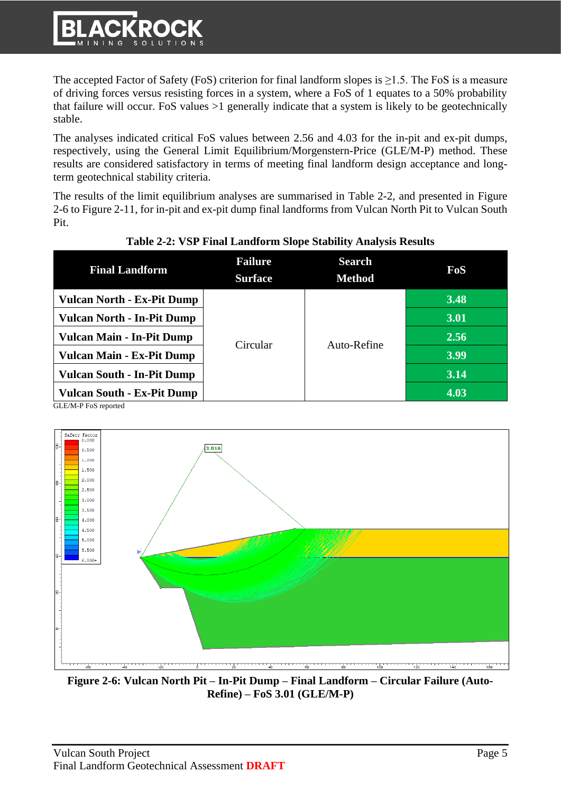The accepted Factor of Safety (FoS) criterion for final landform slopes is  $\geq$ 1.5. The FoS is a measure of driving forces versus resisting forces in a system, where a FoS of 1 equates to a 50% probability that failure will occur. FoS values >1 generally indicate that a system is likely to be geotechnically stable.

The analyses indicated critical FoS values between 2.56 and 4.03 for the in-pit and ex-pit dumps, respectively, using the General Limit Equilibrium/Morgenstern-Price (GLE/M-P) method. These results are considered satisfactory in terms of meeting final landform design acceptance and longterm geotechnical stability criteria.

The results of the limit equilibrium analyses are summarised in [Table 2-2,](#page-4-0) and presented in [Figure](#page-4-1)  [2-6](#page-4-1) to [Figure 2-11,](#page-7-0) for in-pit and ex-pit dump final landforms from Vulcan North Pit to Vulcan South Pit.

<span id="page-4-0"></span>

| <b>Final Landform</b>                                                    | <b>Failure</b><br><b>Surface</b> | <b>Search</b><br><b>Method</b> | FoS  |
|--------------------------------------------------------------------------|----------------------------------|--------------------------------|------|
| <b>Vulcan North - Ex-Pit Dump</b>                                        |                                  | Auto-Refine                    | 3.48 |
| <b>Vulcan North - In-Pit Dump</b>                                        | Circular                         |                                | 3.01 |
| <b>Vulcan Main - In-Pit Dump</b>                                         |                                  |                                | 2.56 |
| <b>Vulcan Main - Ex-Pit Dump</b>                                         |                                  |                                | 3.99 |
| <b>Vulcan South - In-Pit Dump</b>                                        |                                  |                                | 3.14 |
| <b>Vulcan South - Ex-Pit Dump</b><br>C <sub>I</sub> E/M D E <sub>0</sub> |                                  |                                | 4.03 |

### **Table 2-2: VSP Final Landform Slope Stability Analysis Results**

GLE/M-P FoS reported



<span id="page-4-1"></span>**Figure 2-6: Vulcan North Pit – In-Pit Dump – Final Landform – Circular Failure (Auto-Refine) – FoS 3.01 (GLE/M-P)**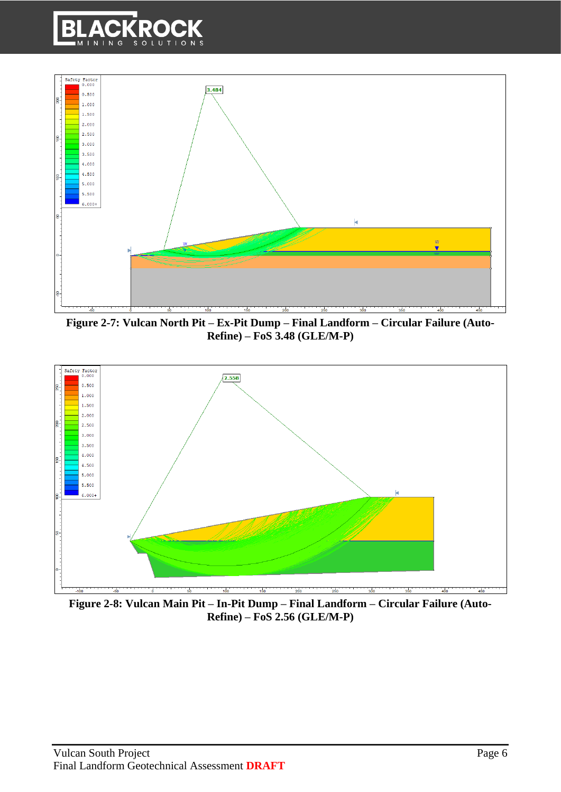



**Figure 2-7: Vulcan North Pit – Ex-Pit Dump – Final Landform – Circular Failure (Auto-Refine) – FoS 3.48 (GLE/M-P)**



**Figure 2-8: Vulcan Main Pit – In-Pit Dump – Final Landform – Circular Failure (Auto-Refine) – FoS 2.56 (GLE/M-P)**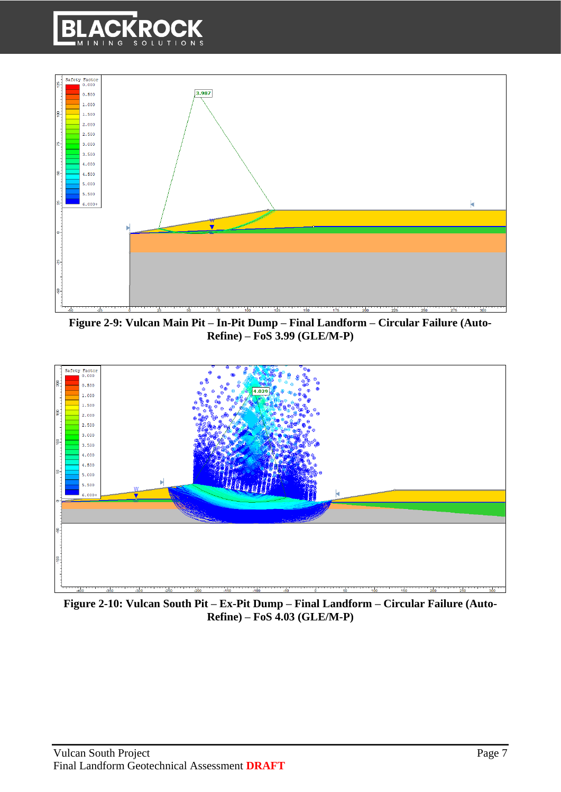



**Figure 2-9: Vulcan Main Pit – In-Pit Dump – Final Landform – Circular Failure (Auto-Refine) – FoS 3.99 (GLE/M-P)**



**Figure 2-10: Vulcan South Pit – Ex-Pit Dump – Final Landform – Circular Failure (Auto-Refine) – FoS 4.03 (GLE/M-P)**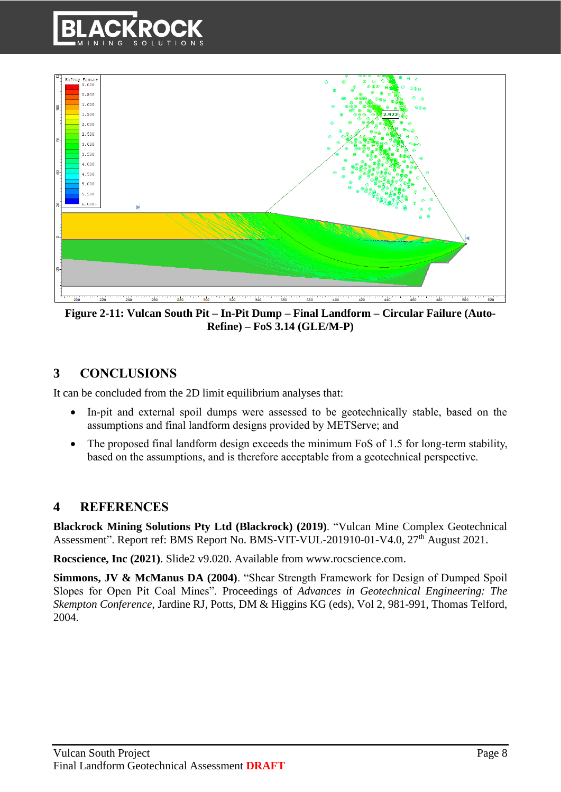



<span id="page-7-0"></span>**Figure 2-11: Vulcan South Pit – In-Pit Dump – Final Landform – Circular Failure (Auto-Refine) – FoS 3.14 (GLE/M-P)**

## **3 CONCLUSIONS**

It can be concluded from the 2D limit equilibrium analyses that:

- In-pit and external spoil dumps were assessed to be geotechnically stable, based on the assumptions and final landform designs provided by METServe; and
- The proposed final landform design exceeds the minimum FoS of 1.5 for long-term stability, based on the assumptions, and is therefore acceptable from a geotechnical perspective.

### **4 REFERENCES**

**Blackrock Mining Solutions Pty Ltd (Blackrock) (2019)**. "Vulcan Mine Complex Geotechnical Assessment". Report ref: BMS Report No. BMS-VIT-VUL-201910-01-V4.0, 27<sup>th</sup> August 2021.

**Rocscience, Inc (2021)**. Slide2 v9.020. Available from www.rocscience.com.

**Simmons, JV & McManus DA (2004)**. "Shear Strength Framework for Design of Dumped Spoil Slopes for Open Pit Coal Mines". Proceedings of *Advances in Geotechnical Engineering: The Skempton Conference*, Jardine RJ, Potts, DM & Higgins KG (eds), Vol 2, 981-991, Thomas Telford, 2004.